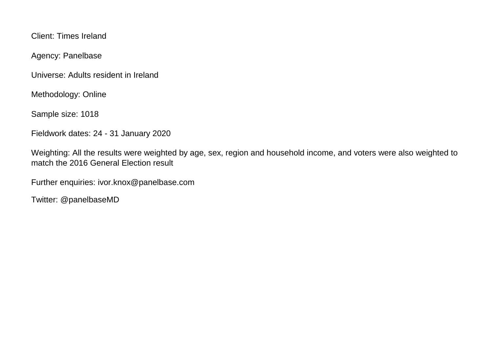Client: Times Ireland

Agency: Panelbase

Universe: Adults resident in Ireland

Methodology: Online

Sample size: 1018

Fieldwork dates: 24 - 31 January 2020

Weighting: All the results were weighted by age, sex, region and household income, and voters were also weighted to match the 2016 General Election result

Further enquiries: ivor.knox@panelbase.com

Twitter: @panelbaseMD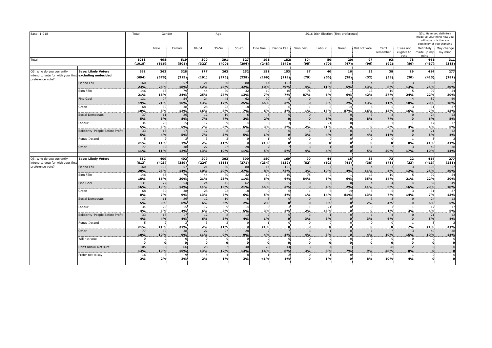| Base: 1,018                                                                        |                                           | Total                 |                       | Gender               |                    | Age                |                    |                             |                                |             | 2016 Irish Election (first preference) |                                          |                                |                   |                                  |                                  | Q3b. Have you definitely<br>made up your mind how you<br>will vote or is there a<br>possibility of you changing |
|------------------------------------------------------------------------------------|-------------------------------------------|-----------------------|-----------------------|----------------------|--------------------|--------------------|--------------------|-----------------------------|--------------------------------|-------------|----------------------------------------|------------------------------------------|--------------------------------|-------------------|----------------------------------|----------------------------------|-----------------------------------------------------------------------------------------------------------------|
|                                                                                    |                                           |                       | Male                  | Female               | $18 - 34$          | $35 - 54$          | $55 - 70$          | Fine Gael                   | Fianna Fáil                    | Sinn Féin   | Labour                                 | Green                                    | Did not vote                   | Can't<br>remember | I was not<br>eligible to<br>vote | Definitely<br>made up my<br>mind | May change<br>my mind                                                                                           |
| Total                                                                              |                                           | 1018<br>(1018)        | 498<br>(516)          | 519<br>(501)         | 300<br>(322)       | 391<br>(400)       | 327<br>(296)       | 191<br>(248)                | 182<br>(142)                   | 104<br>(95) | 50<br>(70)                             | 20<br>(47)                               | 97<br>(96)                     | 93<br>(92)        | 78<br>(80)                       | 441<br>(437)                     | 311<br>(315)                                                                                                    |
| Q3. Who do you currently<br>intend to vote for with your first excluding undecided | <b>Base: Likely Voters</b>                | 691<br>(694)          | 363<br>(378)          | 328<br>(315)         | 177<br>(191)       | 262<br>(275)       | 252<br>(228)       | 151<br>(199)                | 153<br>(118)                   | 87<br>(79)  | 40<br>(56)                             | 16<br>(38)                               | 32<br>(32)                     | 38<br>(38)        | 19<br>(20)                       | 414<br>(413)                     | 277<br>(281)                                                                                                    |
| preference vote?                                                                   | Fianna Fáil                               | 160<br>23%            | 103<br>28%            | 57<br>18%            | 21<br>12%          | 60<br>23%          | 80<br>32%          | 14<br>10%                   | 121<br>79%                     | 4%          | 11%                                    | $\overline{1}$<br><b>5%</b>              | 13%                            | 8%                | 13%                              | 103<br>25%                       | 57<br>20%                                                                                                       |
|                                                                                    | Sinn Féin                                 | 146<br>21%            | 66<br>18%             | 79<br>24%            | 44<br>25%          | 70<br>27%          | 32<br>13%          | 10<br>7%                    | 10<br>7%                       | 75<br>87%   | 6%                                     | $\overline{1}$<br>6%                     | 13<br>42%                      | 10<br>27%         | 24%                              | 92<br>22%                        | 54<br>20%                                                                                                       |
|                                                                                    | <b>Fine Gael</b>                          | 131<br>19%            | 77<br>21%             | 54<br>16%            | 24<br>13%          | 45<br>17%          | 62<br>25%          | 99<br>65%                   | 3%                             |             | 5%                                     | $\sqrt{ }$<br>2%                         | 13%                            | 11%               | 18%                              | 82<br>20%                        | 49<br>18%                                                                                                       |
|                                                                                    | Green<br>Social Democrats                 | 68<br>10%<br>37       | 30<br>8%<br>11        | 38<br>12%<br>26      | 28<br>16%<br>12    | 22<br>8%<br>19     | 18<br>7%           | 9<br>6%                     | 4%                             | 1%          | 15%                                    | 14<br>87%                                | 16%                            | 13%               | 16%                              | 31<br>7%<br>24                   | 37<br>13%<br>13                                                                                                 |
|                                                                                    | Labour                                    | 5%<br>34              | 3%<br>20              | 8%<br>15             | 7%<br>12           | 7%                 | 2%<br>14           | 2%                          |                                |             | 6%<br>21                               | $\mathbf{0}$<br>$\Omega$                 | 8%<br>$\Omega$                 | 7%                |                                  | 6%<br>17                         | 5%<br>17                                                                                                        |
|                                                                                    | Solidarity-People Before Profit           | 5%<br>33              | 5%<br>16              | 5%<br>17             | 7%<br>12           | 3%<br>$\mathbf{R}$ | 6%<br>13           | 3%<br>$\overline{2}$        | 2%<br>$\Omega$                 | 2%          | 51%                                    | $\mathbf{o}$<br>$\mathbf{0}$             | $\mathbf{0}$<br>$\mathbf{1}$   | 3%                | 4%                               | 4%<br>21                         | 6%<br>12                                                                                                        |
|                                                                                    | Renua Ireland                             | 5%<br>< 1%            | 4%<br>< 1%            | 5%<br>1%             | 7%<br>2%           | 3%<br>< 1%         | 5%                 | 1%<br>1<br>< 1%             | $\Omega$<br>$\mathbf{0}$       | 3%          | 4%<br>$\Omega$                         | $\Omega$<br>$\mathbf{0}$<br>$\mathbf{0}$ | 4%<br>$\Omega$<br>$\mathbf{0}$ | 11%<br>O          | 8%                               | 5%<br>$< 1\%$                    | 4%<br>$\overline{z}$<br>< 1%                                                                                    |
|                                                                                    | Other                                     | 77<br>11%             | 39<br>11%             | 38<br>12%            | 22<br>13%          | 27<br>10%          | 28<br>11%          | 5%                          | 5%                             | 4%          | 4%                                     | $\overline{0}$<br>$\mathbf{0}$           | $\overline{1}$<br><b>5%</b>    | 20%               | 17%                              | 40<br>10%                        | 38<br>14%                                                                                                       |
| Q3. Who do you currently                                                           | <b>Base: Likely Voters</b>                | 812                   | 409                   | 402                  | 209                | 303                | 300                | 180                         | 169                            | 90          | 44                                     | 18                                       | 38                             | -73               | 22                               | 414                              | $\overline{277}$                                                                                                |
| intend to vote for with your first<br>preference vote?                             | Fianna Fáil                               | (813)<br>160<br>20%   | (423)<br>103<br>25%   | (389)<br>57<br>14%   | (224)<br>21<br>10% | (318)<br>60<br>20% | (271)<br>80<br>27% | (234)<br>14<br>8%           | (132)<br>121<br>72%            | (82)<br>3%  | (62)<br>10%                            | (41)<br>4%                               | (38)<br>11%                    | (73)<br>4%        | (23)<br>12%                      | (413)<br>103<br>25%              | (281)<br>57<br>20%                                                                                              |
|                                                                                    | Sinn Féin                                 | 146<br>18%            | 66<br>16%             | 79<br>20%            | 44<br>21%          | 70<br>23%          | 32<br>11%          | 10<br>6%                    | 10<br>6%                       | 75<br>84%   | <b>5%</b>                              | $\overline{1}$<br>6%                     | 13<br>35%                      | 10<br>14%         | 21%                              | 92<br>22%                        | 54<br>20%                                                                                                       |
|                                                                                    | <b>Fine Gael</b>                          | 131<br>16%            | 77<br>19%             | 54<br>13%            | 24<br>11%          | 45<br>15%          | 62<br>21%          | 99<br>55%                   | 3%                             |             | 4%                                     | $\Omega$<br>2%                           | 11%                            | 6%                | 16%                              | 82<br>20%                        | 49<br>18%                                                                                                       |
|                                                                                    | Green<br>Social Democrats                 | 68<br>8%<br>37        | 30<br><b>7%</b><br>11 | 38<br>9%<br>26       | 28<br>13%<br>12    | 22<br>7%<br>19     | 18<br>6%           | 9<br><b>5%</b>              | 4%<br>$\Omega$                 | 1%          | 14%                                    | 14<br>81%                                | 13%                            | 7%                | 14%                              | 31<br>7%<br>24                   | 37<br>13%<br>13                                                                                                 |
|                                                                                    | Labour                                    | 5%<br>$\overline{34}$ | 3%<br>20              | 6%<br>15             | 6%<br>12           | 6%                 | 2%<br>14           | 2%<br>5                     |                                |             | 5%<br>21                               | $\Omega$<br>$\Omega$                     | 7%<br>$\Omega$                 | 4%                |                                  | 6%<br>17                         | 5%<br>17                                                                                                        |
|                                                                                    | Solidarity-People Before Profit           | 4%<br>33              | 5%<br>16              | 4%<br>17             | 6%<br>12           | 3%                 | 5%<br>13           | 3%                          | 2%                             | 2%          | 46%                                    | $\mathbf{0}$<br>$\Omega$                 | $\mathbf{0}$                   | 1%                | 3%                               | 4%<br>21                         | 6%<br>12                                                                                                        |
|                                                                                    | Renua Ireland                             | 4%<br>< 1%            | 4%<br>< 1%            | 4%<br>$< 1\%$        | 6%<br>2%           | 3%<br>< 1%         | 4%<br>O            | 1%<br>< 1%                  | $\Omega$<br>0.<br>$\mathbf{o}$ | 3%          | 3%                                     | $\mathbf{0}$<br>$\Omega$<br>$\Omega$     | 3%<br>0<br>$\mathbf 0$         | 6%                | 7%                               | 5%<br>$< 1\%$                    | 4%<br>$\overline{z}$<br>< 1%                                                                                    |
|                                                                                    | Other                                     | -77<br>10%            | 39<br>10%             | 38<br>9%             | 22<br>11%          | 27<br>9%           | 28<br>9%           | 4%                          | 4%                             | 4%          | 3%                                     | $\Omega$<br>$\mathbf{0}$                 | 4%                             | 10%               | 15%                              | 40 <sup>°</sup><br>10%           | 38<br>14%                                                                                                       |
|                                                                                    | Will not vote                             |                       | $\Omega$              | $\Omega$<br>$\Omega$ | $\mathbf{0}$<br>0  | $\mathbf{0}$<br>0. |                    | $\mathbf 0$<br>$\mathbf{0}$ | $\mathbf{0}$<br>$\Omega$       |             | $\Omega$                               | $\Omega$<br>$\mathbf{o}$                 | $\Omega$<br>$\bf{0}$           |                   |                                  |                                  | $\mathbf 0$<br>0                                                                                                |
|                                                                                    | Don't Know/ Not sure<br>Prefer not to say | 105<br>13%<br>16      | 39<br>10%             | 66<br>16%            | 28<br>13%          | 37<br>12%          | 40<br>13%          | 28<br>16%                   | 14<br>8%<br>$\overline{2}$     | 3%          | 8%                                     | $\overline{1}$<br>7%<br>C                | $\overline{3}$<br>9%           | 28<br>38%         | 8%                               |                                  | $\overline{0}$<br>$\mathbf{o}$<br>$\mathbf 0$                                                                   |
|                                                                                    |                                           | 2%                    | 2%                    | 2%                   | 2%                 | 1%                 | 3%                 | < 1%                        | 1%                             |             | 1%                                     | $\mathbf{0}$                             | 8%                             | 10%               | 4%                               |                                  | $\Omega$                                                                                                        |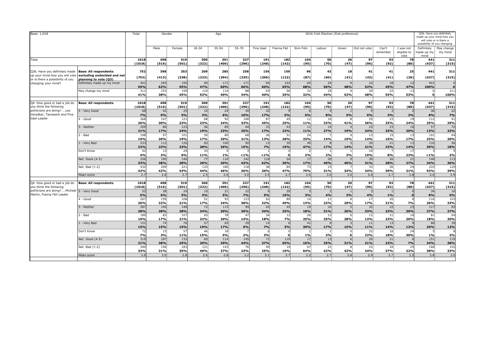| Base: 1,018                                                                                         | Total                                                                                | Gender            |                        |                   | Age             |                 | 2016 Irish Election (first preference) |                 |                 |                 |            |                     |                 |                   | Q3b. Have you definitely<br>made up your mind how you<br>will vote or is there a<br>possibility of you changing |                                  |                                |
|-----------------------------------------------------------------------------------------------------|--------------------------------------------------------------------------------------|-------------------|------------------------|-------------------|-----------------|-----------------|----------------------------------------|-----------------|-----------------|-----------------|------------|---------------------|-----------------|-------------------|-----------------------------------------------------------------------------------------------------------------|----------------------------------|--------------------------------|
|                                                                                                     |                                                                                      |                   | Male                   | Female            | 18-34           | $35 - 54$       | 55-70                                  | Fine Gael       | Fianna Fáil     | Sinn Féin       | Labour     | Green               | Did not vote    | Can't<br>remember | I was not<br>eligible to<br>vote                                                                                | Definitely<br>made up my<br>mind | May change<br>my mind          |
| Total                                                                                               |                                                                                      | 1018<br>(1018)    | 498<br>(516)           | 519<br>(501)      | 300<br>(322)    | 391<br>(400)    | 327<br>(296)                           | 191<br>(248)    | 182<br>(142)    | 104<br>(95)     | 50<br>(70) | 20<br>(47)          | 97<br>(96)      | 93<br>(92)        | 78<br>(80)                                                                                                      | 441<br>(437)                     | 311<br>(315)                   |
| Q3b. Have you definitely made<br>up your mind how you will vote<br>or is there a possibility of you | <b>Base: All respondents</b><br>excluding undecided and not<br>planning to vote (Q3) | 752<br>(752)      | 398<br>(413)           | 353<br>(338)      | 209<br>(223)    | 285<br>(294)    | 258<br>(235)                           | 156<br>(206)    | 159<br>(122)    | 96<br>(87)      | 43<br>(60) | 18<br>(41)          | 41<br>(42)      | 41<br>(41)        | 25<br>(26)                                                                                                      | 441<br>(437)                     | 311<br>(315)                   |
| changing your mind?                                                                                 | Definitely made up my mind                                                           | 441<br>59%        | 245<br>62%             | 195<br>55%        | 99<br>47%       | 171<br>60%      | 171<br>66%                             | 94<br>60%       | 103<br>65%      | 65<br>68%       | 24<br>56%  | $\mathbf{q}$<br>48% | 22<br>52%       | 18<br>45%         | 12<br>47%                                                                                                       | 441<br>100%                      | $\overline{0}$<br>$\mathbf{o}$ |
|                                                                                                     | May change my mind                                                                   | 311<br>41%        | 153<br>38%             | 159<br>45%        | 110<br>53%      | 114<br>40%      | 88<br>34%                              | 63<br>40%       | 56<br>35%       | 31<br>32%       | 19<br>44%  | q<br>52%            | 20<br>48%       | 22<br>55%         | 13<br>53%                                                                                                       | O.                               | 311<br>100%                    |
| Q4. How good or bad a job do<br>you think the following                                             | <b>Base: All respondents</b>                                                         | 1018<br>(1018)    | 498<br>(516)           | 519<br>(501)      | 300<br>(322)    | 391<br>(400)    | 327<br>(296)                           | 191<br>(248)    | 182<br>(142)    | 104<br>(95)     | 50<br>(70) | 20<br>(47)          | 97<br>(96)      | 93<br>(92)        | 78<br>(80)                                                                                                      | 441<br>(437)                     | 311<br>(315)                   |
| politicians are doing?  Leo<br>Varadkar, Taoiseach and Fine                                         | 5 - Very Good                                                                        | 68<br>7%          | 42<br>9%               | 25<br>5%          | 10<br>3%        | 24<br>6%        | 34<br>10%                              | 32<br>17%       | 5%              | 6%              | 8%         | 5%                  | 6%              | 3%                | 2%                                                                                                              | 36<br>8%                         | 22<br>7%                       |
| Gael Leader                                                                                         | 4 - Good                                                                             | 268<br>26%        | 147<br>30%             | 121<br>23%        | 68<br>23%       | 92<br>24%       | 108<br>33%                             | 87<br>45%       | 45<br>25%       | 11<br>11%       | 16<br>32%  | 8<br>41%            | 25<br>26%       | 23<br>25%         | 19<br>24%                                                                                                       | 112<br>25%                       | 91<br>29%                      |
|                                                                                                     | 3 - Neither<br>$2 - Bad$                                                             | 209<br>21%<br>198 | 86<br><b>17%</b><br>97 | 123<br>24%<br>101 | 56<br>19%<br>50 | 89<br>23%<br>80 | 64<br>20%<br>68                        | 33<br>17%<br>26 | 43<br>23%<br>51 | 11<br>11%<br>24 | 14<br>27%  | 19%                 | 23<br>24%<br>13 | 23<br>25%<br>15   | 16<br>20%<br>13                                                                                                 | 57<br>13%<br>101                 | 72<br>23%<br>64                |
|                                                                                                     |                                                                                      | 19%               | 20%                    | 19%               | 17%             | 20%             | 21%                                    | 13%             | 28%             | 23%             | 14%        | 19%                 | 14%             | 16%               | 17%                                                                                                             | 23%                              | 20%                            |
|                                                                                                     | 1 - Very Bad                                                                         | 233<br>23%        | 112<br>23%             | 120<br>23%        | 83<br>28%       | 100<br>26%      | 50<br>15%                              | 13<br>7%        | 35<br>19%       | 49<br>47%       | 17%        | 14%                 | 20<br>21%       | 21<br>23%         | 11<br>14%                                                                                                       | 132<br>30%                       | 56<br>18%                      |
|                                                                                                     | Don't Know                                                                           | 42<br>4%          | 13<br>3%               | 29<br>6%          | 33<br>11%       | 1%              | < 1%                                   | $< 1\%$         | $\mathbf 0$     | 2%              | 2%         | 3%                  | 10<br>10%       | 8%                | -17<br>22%                                                                                                      | $< 1\%$                          | 2%                             |
|                                                                                                     | Net: Good (4-5)                                                                      | 336<br>33%        | 190<br>38%             | 146<br>28%        | 77<br>26%       | 116<br>30%      | 142<br>43%                             | 118<br>62%      | 54<br>30%       | 17<br>17%       | 20<br>40%  | $\mathsf{q}$<br>46% | 30<br>31%       | 26<br>28%         | 21<br>27%                                                                                                       | 148<br>34%                       | 113<br>36%                     |
|                                                                                                     | Net: Bad (1-2)                                                                       | 432<br>42%        | 209<br>42%             | 221<br>43%        | 133<br>44%      | 180<br>46%      | 118<br>36%                             | 38<br>20%       | 85<br>47%       | 73<br>70%       | 15<br>31%  | 33%                 | 33<br>34%       | 36<br>39%         | 24<br>31%                                                                                                       | 233<br>53%                       | 120<br>39%                     |
|                                                                                                     | Mean score                                                                           | 2.7               | 2.8                    | 2.7               | 2.5             | 2.6             | 3.0                                    | 3.5             | 2.7             | 2.0             | 3.0        | 3.0                 | 2.8             | 2.7               | 2.8                                                                                                             | 2.6                              | 2.9                            |
| Q4. How good or bad a job do<br>you think the following                                             | <b>Base: All respondents</b>                                                         | 1018<br>(1018)    | 498<br>(516)           | 519<br>(501)      | 300<br>(322)    | 391<br>(400)    | 327<br>(296)                           | 191<br>(248)    | 182<br>(142)    | 104<br>(95)     | 50<br>(70) | 20<br>(47)          | 97<br>(96)      | 93<br>(92)        | 78<br>(80)                                                                                                      | 441<br>(437)                     | 311<br>(315)                   |
| politicians are doing?  Micheál 5 - Very Good<br>Martin, Fianna Fáil Leader                         |                                                                                      | 52<br>5%          | 28<br>6%               | 24<br>5%          | 10<br>3%        | 21<br>5%        | 22<br>7%                               | 5%              | 29<br>16%       | 3%              | 4%         | 3%                  | 4%              | 1%                |                                                                                                                 | 34<br>8%                         | 16<br>5%                       |
|                                                                                                     | 4 - Good                                                                             | 267<br>26%        | 159<br>32%             | 108<br>21%        | 51<br>17%       | 93<br>24%       | 123<br>38%                             | 62<br>32%       | 89<br>49%       | 14<br>13%       | 11<br>22%  | 6<br>29%            | 17<br>17%       | 20<br>21%         | 7%                                                                                                              | 116<br>26%                       | 103<br>33%                     |
|                                                                                                     | 3 - Neither                                                                          | 287<br>28%        | 140<br>28%             | 148<br>28%        | 72<br>24%       | 115<br>30%      | 99<br>30%                              | 65<br>34%       | 45<br>25%       | 19<br>18%       | 16<br>31%  | 26%                 | 32<br>33%       | 22<br>23%         | 23<br>30%                                                                                                       | 117<br>27%                       | 83<br>27%                      |
|                                                                                                     | $2 - Bad$                                                                            | 189<br>19%        | 83<br><b>17%</b>       | 107<br>21%        | 65<br>22%       | 78<br>20%       | 47<br>14%                              | 34<br>18%       | 12<br>7%        | 26<br>25%       | 12<br>25%  | 28%                 | 12<br>13%       | 21<br>23%         | 16<br>20%                                                                                                       | 81<br>18%                        | 64<br>20%                      |
|                                                                                                     | 1 - Very Bad                                                                         | 151<br>15%        | 74<br>15%              | 76<br>15%         | 57<br>19%       | 65<br>17%       | 29<br>9%                               | 14<br>7%        | 3%              | 41<br>39%       | 17%        | 15%                 | 11<br>11%       | 13<br>14%         | 12%                                                                                                             | 86<br>20%                        | 39<br>12%                      |
|                                                                                                     | Don't Know                                                                           | 72<br>7%          | 15<br>3%               | -57<br>11%        | 46<br>15%       | 18<br>5%        | 2%                                     | 3%              | $\Omega$        | 1%              | 2%         | $\Omega$            | 22<br>22%       | 16<br>18%         | 24<br>30%                                                                                                       | 1%                               | 3%                             |
|                                                                                                     | Net: Good (4-5)                                                                      | 319<br>31%        | 187<br>38%             | 132<br>25%        | 60<br>20%       | 114<br>29%      | 145<br>44%                             | 71<br>37%       | 119<br>65%      | 17<br>16%       | 13<br>25%  | 6<br>31%            | 20<br>21%       | 21<br>22%         | 7%                                                                                                              | 151<br>34%                       | 119<br>38%                     |
|                                                                                                     | Net: Bad (1-2)                                                                       | 340<br>33%        | 156<br>31%             | 183<br>35%        | 121<br>40%      | 143<br>37%      | 76<br>23%                              | 49<br>25%       | 19<br>10%       | 67<br>64%       | 21<br>42%  | 8<br>42%            | 23<br>24%       | 34<br>37%         | 25<br>32%                                                                                                       | 168<br>38%                       | 102<br>33%                     |
|                                                                                                     | Mean score                                                                           | 2.9               | 3.0                    | 2.8               | 2.6             | 2.8             | 3.2                                    | 3.1             | 3.7             | 2.2             | 2.7        | 2.8                 | 2.9             | 2.7               | 2.5                                                                                                             | 2.8                              | 3.0                            |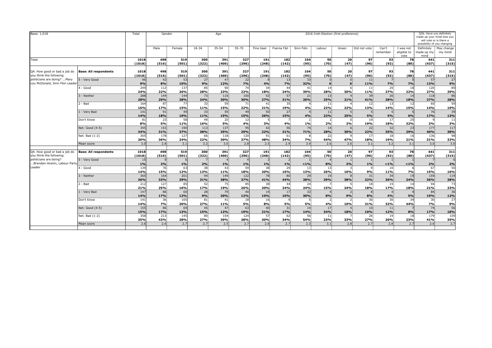| Base: 1,018                                                    |                              | Total          |                  | Gender<br>2016 Irish Election (first preference)<br>Age |              |              |              |                 |                |             |            | Q3b. Have you definitely<br>made up your mind how you<br>will vote or is there a<br>possibility of you changing |              |                   |                                  |                                  |                       |
|----------------------------------------------------------------|------------------------------|----------------|------------------|---------------------------------------------------------|--------------|--------------|--------------|-----------------|----------------|-------------|------------|-----------------------------------------------------------------------------------------------------------------|--------------|-------------------|----------------------------------|----------------------------------|-----------------------|
|                                                                |                              |                | Male             | Female                                                  | $18 - 34$    | $35 - 54$    | $55 - 70$    | Fine Gael       | Fianna Fáil    | Sinn Féin   | Labour     | Green                                                                                                           | Did not vote | Can't<br>remember | I was not<br>eligible to<br>vote | Definitely<br>made up my<br>mind | May change<br>my mind |
| Total                                                          |                              | 1018<br>(1018) | 498<br>(516)     | 519<br>(501)                                            | 300<br>(322) | 391<br>(400) | 327<br>(296) | 191<br>(248)    | 182<br>(142)   | 104<br>(95) | 50<br>(70) | 20<br>(47)                                                                                                      | 97<br>(96)   | 93<br>(92)        | 78<br>(80)                       | 441<br>(437)                     | 311<br>(315)          |
|                                                                |                              |                |                  |                                                         |              |              |              |                 |                |             |            |                                                                                                                 |              |                   |                                  |                                  |                       |
| Q4. How good or bad a job do                                   | <b>Base: All respondents</b> | 1018           | 498              | 519                                                     | 300          | 391          | 327          | 191             | 182            | 104         | 50         | 20                                                                                                              | 97           | 93                | 78                               | 441                              | 311                   |
| you think the following                                        |                              | (1018)         | (516)            | (501)                                                   | (322)        | (400)        | (296)        | (248)           | (142)          | (95)        | (70)       | (47)                                                                                                            | (96)         | (92)              | (80)                             | (437)                            | (315)                 |
| politicians are doing?  Mary<br>Lou McDonald, Sinn Féin Leader | 5 - Very Good                | 96<br>9%       | 42<br>8%         | 53<br>10%                                               | 27<br>9%     | 47<br>12%    | 22<br>7%     | 4%              | 13<br>7%       | 33<br>32%   |            | $\Omega$                                                                                                        | 11<br>11%    | 7%                | 7%                               | 57<br>13%                        | 27<br>9%              |
|                                                                | 4 - Good                     | 249            | 112              | 137                                                     | 85           | 90           | 74           | 34              | 44             | 41          | 14         |                                                                                                                 | 11           | 25                | 18                               | 120                              | 89                    |
|                                                                |                              | 24%            | 22%              | 26%                                                     | 28%          | 23%          | 22%          | 18%             | 24%            | 39%         | 28%        | 30%                                                                                                             | 11%          | 27%               | 22%                              | 27%                              | 29%                   |
|                                                                | 3 - Neither                  | 288            | 144              | 144                                                     | 73           | 116          | 100          | 52              | 57             | 21          | 13         |                                                                                                                 | 39           | 26                | 14                               | 118                              | 86                    |
|                                                                | $2 - Bad$                    | 28%<br>164     | 29%<br>87        | 28%<br>77                                               | 24%<br>33    | 30%<br>59    | 30%<br>71    | 27%<br>41       | 31%<br>35      | 20%         | 25%<br>11  | 21%                                                                                                             | 41%          | 28%<br>13         | 18%<br>12                        | 27%<br>60                        | 28%<br>59             |
|                                                                |                              | 16%            | 17%              | 15%                                                     | 11%          | 15%          | 22%          | 21%             | 19%            | 4%          | 22%        | 22%                                                                                                             | 12<br>13%    | 14%               | 15%                              | 14%                              | 19%                   |
|                                                                | 1 - Verv Bad                 | 141            | 91               | 49                                                      | 33           | 59           | 49           | 50              | 27             |             | 11         |                                                                                                                 |              |                   |                                  | 76                               | 39                    |
|                                                                |                              | 14%            | 18%              | 10%                                                     | 11%          | 15%          | 15%          | 26%             | 15%            | 4%          | 22%        | 25%                                                                                                             | 5%           | 5%                | 6%                               | 17%                              | 13%                   |
|                                                                | Don't Know                   | 81             | 23               | 58                                                      | 49           | 20           | 12           |                 |                |             |            |                                                                                                                 | 19           | 17                | 25                               |                                  | 11                    |
|                                                                | Net: Good (4-5)              | 8%<br>345      | <b>5%</b><br>153 | 11%<br>190                                              | 16%<br>113   | 5%<br>137    | 4%<br>95     | 3%<br>42        | 4%<br>56       | 1%<br>74    | 2%<br>14   | 2%<br>6                                                                                                         | 19%<br>22    | 18%<br>32         | 32%<br>23                        | 2%<br>177                        | 3%<br>117             |
|                                                                |                              | 34%            | 31%              | 37%                                                     | 38%          | 35%          | 29%          | 22%             | 31%            | 71%         | 28%        | 30%                                                                                                             | 22%          | 35%               | 29%                              | 40%                              | 38%                   |
|                                                                | Net: Bad (1-2)               | 305            | 178              | 127                                                     | 66           | 118          | 120          | 91              | 61             |             | 22         |                                                                                                                 | 17           | 18                | 16                               | 136                              | 98                    |
|                                                                |                              | 30%            | 36%              | 24%                                                     | 22%          | 30%          | 37%          | 48%             | 34%            | 7%          | 44%        | 47%                                                                                                             | 18%          | 19%               | 21%                              | 31%                              | 32%                   |
|                                                                | Mean score                   | 3.0            | 2.8              | 3.1                                                     | 3.2          | 3.0          | 2.8          | 2.5             | 2.9            | 3.9         | 2.6        | 2.6                                                                                                             | 3.1          | 3.2               | 3.1                              | 3.0 <sub>1</sub>                 | 3.0                   |
| Q4. How good or bad a job do<br>you think the following        | <b>Base: All respondents</b> | 1018<br>(1018) | 498<br>(516)     | 519<br>(501)                                            | 300<br>(322) | 391<br>(400) | 327<br>(296) | 191<br>(248)    | 182<br>(142)   | 104<br>(95) | 50<br>(70) | 20<br>(47)                                                                                                      | 97<br>(96)   | 93<br>(92)        | 78<br>(80)                       | 441<br>(437)                     | 311<br>(315)          |
| politicians are doing?                                         | 5 - Very Good                | 15             |                  |                                                         |              |              |              |                 | $\overline{z}$ |             |            |                                                                                                                 |              |                   |                                  |                                  | 6                     |
| Brendan Howlin, Labour Party<br>Leader                         |                              | 1%             | 2%               | 1%                                                      | 2%           | 1%           | 1%           | 1%              | 1%             | < 1%        | 8%         | 3%                                                                                                              | 1%           | < 1%              | < 1%                             | 2%                               | 2%                    |
|                                                                | 4 - Good                     | 139<br>14%     | 76<br>15%        | 63<br>12%                                               | 38<br>13%    | 43<br>11%    | 59<br>18%    | 38<br>20%       | 29<br>16%      | 13<br>13%   | 13<br>26%  | 3<br>16%                                                                                                        | 9%           | 10<br>11%         | 7%                               | 67<br>15%                        | 50<br>16%             |
|                                                                | - Neither                    | 365            | 164              | 201                                                     | 94           | 149          | 122          | 78              | 80             | 29          | 19         |                                                                                                                 | 31           | 34                | 19                               | 159                              | 119                   |
|                                                                |                              | 36%            | 33%              | 39%                                                     | 31%          | 38%          | 37%          | 41%             | 44%            | 28%         | 39%        | 38%                                                                                                             | 32%          | 36%               | 24%                              | 36%                              | 38%                   |
|                                                                | 2 - Bad                      | 212            | 127              | 85                                                      | 52           | 75           | 85           | 38              | 44             | 24          |            |                                                                                                                 | 18           | -15               | 14                               | 94                               | -73                   |
|                                                                |                              | 21%            | 25%              | 16%                                                     | 17%          | 19%          | 26%          | 20%             | 24%            | 24%         | 15%        | 24%                                                                                                             | 18%          | 17%               | 18%                              | 21%                              | 23%                   |
|                                                                | 1 - Very Bad                 | 147<br>14%     | 86<br>17%        | 60<br>12%                                               | 28<br>9%     | 79<br>20%    | 40<br>12%    | 19<br>10%       | 17<br>10%      | 32<br>30%   | 8%         | 9%                                                                                                              | 8%           | 4%                | 5%                               | 84<br>19%                        | 36<br>12%             |
|                                                                | Don't Know                   | 141            | 36               | 105                                                     | 81           | 41           | 18           | 16              | -9             |             |            | $\overline{2}$                                                                                                  | 30           | 30                | 34                               | 30                               | 27                    |
|                                                                |                              | 14%            | <b>7%</b>        | 20%                                                     | 27%          | 11%          | 5%           | 8%              | 5%             | <b>5%</b>   | 4%         | 10%                                                                                                             | 31%          | 32%               | 44%                              | <b>7%</b>                        | 9%                    |
|                                                                | Net: Good (4-5)              | 155            | 86               | 69                                                      | 45           | 47           | 63           | 40 <sup>1</sup> | 31             | 14          | 17         |                                                                                                                 | 10           | 11                |                                  | 74                               | 56                    |
|                                                                |                              | 15%<br>358     | 17%<br>213       | 13%<br>145                                              | 15%<br>80    | 12%<br>154   | 19%<br>124   | 21%<br>57       | 17%<br>62      | 14%<br>56   | 34%<br>11  | 18%<br>$\overline{z}$                                                                                           | 10%<br>26    | 12%<br>19         | 8%<br>18                         | 17%<br>179                       | 18%<br>109            |
|                                                                | Net: Bad (1-2)               | 35%            | 43%              | 28%                                                     | 27%          | 39%          | 38%          | 30%             | 34%            | <b>54%</b>  | 23%        | 33%                                                                                                             | 27%          | 20%               | 23%                              | 41%                              | 35%                   |
|                                                                | Mean score                   | 2.6            | 2.6              | 2.7                                                     | 2.7          | 2.5          | 2.7          | 2.8             | 2.7            | 2.3         | 3.1        | 2.8                                                                                                             | 2.7          | 2.8               | 2.7                              | 2.6                              | 2.7                   |
|                                                                |                              |                |                  |                                                         |              |              |              |                 |                |             |            |                                                                                                                 |              |                   |                                  |                                  |                       |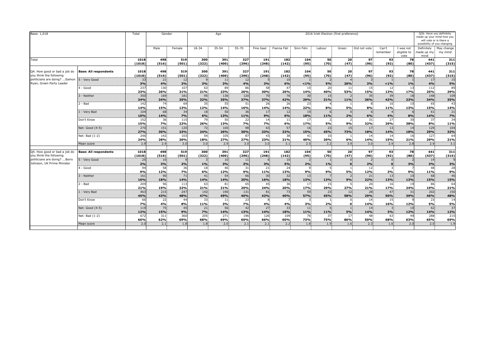| Base: 1,018                                                             |                              | Total          | Gender<br>Age<br>2016 Irish Election (first preference) |                  |              |              |              |                        |                      |             | Q3b. Have you definitely<br>made up your mind how you<br>will vote or is there a<br>possibility of you changing |                             |              |                   |                                  |                                  |                         |
|-------------------------------------------------------------------------|------------------------------|----------------|---------------------------------------------------------|------------------|--------------|--------------|--------------|------------------------|----------------------|-------------|-----------------------------------------------------------------------------------------------------------------|-----------------------------|--------------|-------------------|----------------------------------|----------------------------------|-------------------------|
|                                                                         |                              |                | Male                                                    | Female           | $18 - 34$    | $35 - 54$    | $55 - 70$    | Fine Gael              | Fianna Fáil          | Sinn Féin   | Labour                                                                                                          | Green                       | Did not vote | Can't<br>remember | I was not<br>eligible to<br>vote | Definitely<br>made up my<br>mind | May change<br>my mind   |
| Total                                                                   |                              | 1018<br>(1018) | 498<br>(516)                                            | 519<br>(501)     | 300<br>(322) | 391<br>(400) | 327<br>(296) | 191<br>(248)           | 182<br>(142)         | 104<br>(95) | 50<br>(70)                                                                                                      | 20<br>(47)                  | 97<br>(96)   | 93<br>(92)        | 78<br>(80)                       | 441<br>(437)                     | 311<br>(315)            |
|                                                                         |                              |                |                                                         |                  |              |              |              |                        |                      |             |                                                                                                                 |                             |              |                   |                                  |                                  |                         |
| Q4. How good or bad a job do<br>you think the following                 | <b>Base: All respondents</b> | 1018<br>(1018) | 498<br>(516)                                            | 519<br>(501)     | 300<br>(322) | 391<br>(400) | 327<br>(296) | 191<br>(248)           | 182<br>(142)         | 104<br>(95) | 50<br>(70)                                                                                                      | 20<br>(47)                  | 97<br>(96)   | 93<br>(92)        | 78<br>(80)                       | 441<br>(437)                     | 311<br>(315)            |
| politicians are doing?  Eamon 5 - Very Good<br>Ryan, Green Party Leader |                              | 33<br>3%       | 21<br>4%                                                | 12<br>2%         | 3%           | 11<br>3%     | 12<br>4%     | 3%                     | 10<br>6%             | < 1%        | 5%                                                                                                              | 20%                         | 3%           | < 1%              | 1%                               | 17<br>4%                         | 15<br>5%                |
|                                                                         | 4 - Good                     | 237<br>23%     | 130<br>26%                                              | 107<br>21%       | 63<br>21%    | 89<br>23%    | 86<br>26%    | 58<br>30%              | 47<br>26%            | 15<br>14%   | 20<br>40%                                                                                                       | 11<br>53%                   | 15<br>15%    | 12<br>13%         | 13<br>17%                        | 112<br>25%                       | 89<br>29%               |
|                                                                         | 3 - Neither                  | 350<br>34%     | 169<br>34%                                              | 181<br>35%       | 95<br>32%    | 136<br>35%   | 120<br>37%   | 70<br>37%              | 76<br>42%            | 30<br>29%   | 15<br>31%                                                                                                       | 11%                         | 35<br>36%    | 39<br>42%         | 18<br>23%                        | 148<br>34%                       | 109<br>35%              |
|                                                                         | $2 - Bad$                    | 142<br>14%     | 74<br>15%                                               | 69<br>13%        | 35<br>12%    | 55<br>14%    | 51<br>16%    | 26<br>14%              | 26<br>14%            | 23<br>22%   | 8%                                                                                                              | <b>5%</b>                   | 8%           | 10<br>11%         | 10<br>13%                        | 65<br>15%                        | 43<br>14%               |
|                                                                         | 1 - Verv Bad                 | 104<br>10%     | 68<br>14%                                               | 34<br>7%         | 18<br>6%     | 50<br>13%    | 36<br>11%    | 17<br>9%               | 12<br>6%             | 19<br>18%   | 11%                                                                                                             | $\Omega$<br>2%              | 6%           | 4%                | 8%                               | 61<br>14%                        | 21<br>7%                |
|                                                                         | Don't Know                   | 152<br>15%     | 36<br><b>7%</b>                                         | 115<br>22%       | 79<br>26%    | 50<br>13%    | 22<br>7%     | 14<br><b>7%</b>        | 11<br>6%             | 17<br>17%   | 5%                                                                                                              | $\overline{z}$<br>9%        | 31<br>32%    | 27<br>29%         | 30<br>38%                        | 37<br>8%                         | 34<br>11%               |
|                                                                         | Net: Good (4-5)              | 270<br>27%     | 151<br>30%                                              | 120<br>23%       | 72<br>24%    | 100<br>26%   | 98<br>30%    | 63<br>33%              | 57<br>32%            | 16<br>15%   | $\overline{23}$<br>45%                                                                                          | 15 <sup>1</sup><br>73%      | 17<br>18%    | 13<br>14%         | 14<br>18%                        | 129<br>29%                       | 104<br>33%              |
|                                                                         | Net: Bad (1-2)               | 246<br>24%     | 142<br>28%                                              | 103<br>20%       | 54<br>18%    | 105<br>27%   | 87<br>27%    | 43<br>23%              | 38<br>21%            | 41<br>40%   | 10<br>20%                                                                                                       | $\overline{1}$<br>6%        | 14<br>14%    | 14<br>15%         | 16<br>21%                        | 127<br>29%                       | 64<br>21%               |
|                                                                         | Mean score                   | 2.9            | 2.9                                                     | 3.0              | 3.0          | 2.9          | 3.0          | 3.0                    | 3.1                  | 2.5         | 3.2                                                                                                             | 3.9                         | 3.0          | 2.9               | 2.8                              | 2.9                              | 3.1                     |
| Q4. How good or bad a job do<br>you think the following                 | <b>Base: All respondents</b> | 1018<br>(1018) | 498<br>(516)                                            | 519<br>(501)     | 300<br>(322) | 391<br>(400) | 327<br>(296) | 191<br>(248)           | 182<br>(142)         | 104<br>(95) | 50<br>(70)                                                                                                      | 20<br>(47)                  | 97<br>(96)   | 93<br>(92)        | 78<br>(80)                       | 441<br>(437)                     | 311                     |
| politicians are doing? Boris<br>Johnson, UK Prime Minister              | 5 - Very Good                | 25<br>2%       | 16<br>3%                                                | 2%               | 1%           | 10<br>3%     | 11<br>3%     | 3%                     | 10<br>5%             | 2%          | 1%                                                                                                              | $\Omega$                    | 2%           | $\Omega$          | 3%                               | 14<br>3%                         | $\frac{(315)}{9}$<br>3% |
|                                                                         | 4 - Good                     | $-94$<br>9%    | 58<br>12%                                               | 36<br>7%         | 18<br>6%     | 46<br>12%    | 31<br>9%     | 21<br>11%              | 24<br>13%            | 9%          | 9%                                                                                                              | $\overline{1}$<br><b>5%</b> | 12<br>12%    | 3%                | 9%                               | 48<br>11%                        | 28<br>9%                |
|                                                                         | - Neither                    | 161<br>16%     | 90<br>18%                                               | 71<br><b>14%</b> | 41<br>14%    | 54<br>14%    | 66<br>20%    | 30 <sub>1</sub><br>16% | 32<br>18%            | 13<br>13%   | 13%                                                                                                             | 9%                          | 21<br>22%    | 13<br>13%         | 10<br>13%                        | 68<br>15%                        | 46<br>15%               |
|                                                                         | $2 - Bad$                    | 209<br>21%     | 96<br>19%                                               | 113<br>22%       | 63<br>21%    | 81<br>21%    | 65<br>20%    | 45<br>24%              | 36<br>20%            | 17<br>17%   | 15<br>29%                                                                                                       | 27%                         | 20<br>21%    | 16<br>17%         | 19<br>24%                        | 86<br>19%                        | 64<br>21%               |
|                                                                         | 1 - Very Bad                 | 463<br>45%     | 215<br>43%                                              | 247<br>48%       | 142<br>47%   | 190<br>49%   | 131<br>40%   | 81<br>42%              | 73<br>40%            | 59<br>57%   | 23<br>45%                                                                                                       | 12<br>58%                   | 28<br>29%    | 47<br>50%         | 31<br>39%                        | 202<br>46%                       | 150<br>48%              |
|                                                                         | Don't Know                   | 66<br>7%       | 22<br>4%                                                | 44<br>8%         | 33<br>11%    | 11.<br>3%    | 23<br>7%     | R<br>4%                | $\overline{7}$<br>4% | 3%          | 2%                                                                                                              | $\Omega$<br>$\Omega$        | 14<br>14%    | 15<br>16%         | 12%                              | 23<br>5%                         | 14                      |
|                                                                         | Net: Good (4-5)              | 119<br>12%     | 75<br>15%                                               | 45<br>9%         | 21<br>7%     | 56<br>14%    | 42<br>13%    | 27<br>14%              | 33<br>18%            | 11<br>11%   | 11%                                                                                                             | 5%                          | 14<br>14%    | 3%                | 10<br>12%                        | 62<br>14%                        | $\frac{5\%}{37}$<br>12% |
|                                                                         | Net: Bad (1-2)               | 672<br>66%     | 311<br>62%                                              | 360<br>69%       | 205<br>68%   | 271<br>69%   | 196<br>60%   | 126<br>66%             | 109<br>60%           | 76<br>73%   | 37<br>75%                                                                                                       | 17<br>86%                   | 48<br>50%    | 63<br>68%         | 49<br>63%                        | 288<br>65%                       | 215<br>69%              |
|                                                                         | Mean score                   | 2.0            | 2.1                                                     | 1.8              | 1.8          | 2.0          | 2.1          | 2.1                    | 2.2                  | 1.8         | 1.9                                                                                                             | 1.6                         | 2.3          | 1.6               | 2.0                              | 2.0                              | 1.9                     |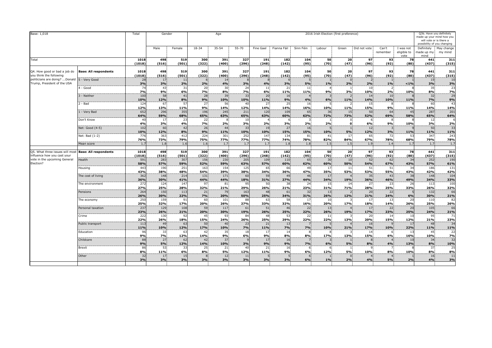| Base: 1,018                                                   |                              |                        |                 | Gender       |              | Age                          |              |              |              |             | 2016 Irish Election (first preference) |                          |                        |                   |                                  | Q3b. Have you definitely<br>made up your mind how you<br>will vote or is there a<br>possibility of you changing |                             |  |
|---------------------------------------------------------------|------------------------------|------------------------|-----------------|--------------|--------------|------------------------------|--------------|--------------|--------------|-------------|----------------------------------------|--------------------------|------------------------|-------------------|----------------------------------|-----------------------------------------------------------------------------------------------------------------|-----------------------------|--|
|                                                               |                              |                        | Male            | Female       | 18-34        | $35 - 54$                    | 55-70        | Fine Gael    | Fianna Fáil  | Sinn Féin   | Labour                                 | Green                    | Did not vote           | Can't<br>remember | I was not<br>eligible to<br>vote | Definitely<br>made up my<br>mind                                                                                | May change<br>my mind       |  |
| Total                                                         |                              | 1018<br>(1018)         | 498<br>(516)    | 519<br>(501) | 300<br>(322) | 391<br>(400)                 | 327<br>(296) | 191<br>(248) | 182<br>(142) | 104<br>(95) | 50<br>(70)                             | 20<br>(47)               | 97<br>(96)             | 93<br>(92)        | 78<br>(80)                       | 441<br>(437)                                                                                                    | 311<br>(315)                |  |
| Q4. How good or bad a job do<br>you think the following       | <b>Base: All respondents</b> | 1018<br>(1018)         | 498<br>(516)    | 519<br>(501) | 300<br>(322) | 391<br>(400)                 | 327<br>(296) | 191<br>(248) | 182<br>(142) | 104<br>(95) | 50<br>(70)                             | 20<br>(47)               | 97<br>(96)             | 93<br>(92)        | 78<br>(80)                       | 441<br>(437)                                                                                                    | 311<br>(315)                |  |
| politicians are doing?  Donald<br>Trump, President of the USA | 5 - Very Good                | 28<br>3%<br>74         | 17<br>3%        | 11<br>2%     | 2%<br>20     | 14<br>4%<br>30               | 3%           | 4%           | 3%           | 5%          | 1%                                     | $\Omega$<br>2%           | 2%                     | 1%                | < 1%                             | 15<br>3%                                                                                                        | 10<br>3%                    |  |
|                                                               | 4 - Good                     | 7%                     | 43<br>9%        | 31<br>6%     | 7%           | 8%<br>39                     | 24<br>7%     | 11<br>6%     | 21<br>11%    | 11<br>11%   | 9%                                     | 3%                       | 10<br>10%              | 2%                | 10%                              | 35<br>8%                                                                                                        | 23<br>7%<br>$\overline{29}$ |  |
|                                                               | 3 - Neither                  | 100<br>10%             | 58<br>12%       | 41<br>8%     | 28<br>9%     | 10%                          | 33<br>10%    | 20<br>11%    | 16<br>9%     | 4%          | 6%                                     | 11%                      | 14<br>14%              | 10<br>10%         | 11%                              | 32<br>7%                                                                                                        | 9%                          |  |
|                                                               | $2 - Bad$                    | 124<br>12%             | - 67<br>13%     | 57<br>11%    | 27<br>9%     | 56<br>14%                    | 40<br>12%    | 27<br>14%    | 25<br>14%    | 16<br>16%   | 10%                                    | 11%                      | 15<br>15%              | 9%                | 11%                              | 60<br>14%                                                                                                       | 43<br>14%                   |  |
|                                                               | 1 - Very Bad                 | 652<br>64%             | 296<br>59%      | 355<br>68%   | 196<br>65%   | 245<br>63%                   | 211<br>65%   | 120<br>63%   | 109<br>60%   | 65<br>63%   | 36<br>72%                              | 15<br>73%                | 50<br>52%              | 64<br>69%         | 45<br>58%                        | 287<br>65%                                                                                                      | 201<br>64%                  |  |
|                                                               | Don't Know                   | 40<br>4%               | 17<br>3%        | 23<br>4%     | 22<br>7%     | 2%                           | 10<br>3%     | 2%           | 3%           | 2%          | 2%                                     | $\Omega$<br>$\mathbf{o}$ | 6%                     | 9%                | 10%                              | 12<br>3%                                                                                                        | 6<br>2%                     |  |
|                                                               | Net: Good (4-5)              | 102<br>10%             | 60<br>12%       | 42<br>8%     | 26<br>9%     | 44<br>11%                    | 33<br>10%    | 19<br>10%    | 27<br>15%    | 16<br>15%   | 10%                                    | $\mathbf{1}$<br>5%       | 12 <sup>1</sup><br>12% | 3%                | 11%                              | 50<br>11%                                                                                                       | 33<br>11%                   |  |
|                                                               | Net: Bad (1-2)               | 776<br>76%             | 363<br>73%      | 412<br>79%   | 224<br>75%   | 301<br>77%                   | 252<br>77%   | 147<br>77%   | 134<br>74%   | 81<br>78%   | 41<br>82%                              | 17<br>84%                | 65<br>67%              | 72<br>78%         | 53<br>68%                        | 347<br>79%                                                                                                      | 243<br>78%                  |  |
|                                                               | Mean score                   | 1.1                    | 1.8             | 1.6          | 1.6          | 1.7                          | 1.7          | 1.7          | 1.8          | 1.8         | 1.5                                    | 1.5                      | 1.9                    | 1.4               | 1.7                              | 1.7                                                                                                             | 1.7                         |  |
| Q5. What three issues will mos<br>influence how you cast your | <b>Base: All respondents</b> | 1018<br>(1018)         | 498<br>(516)    | 519<br>(501) | 300<br>(322) | 391<br>(400)                 | 327<br>(296) | 191<br>(248) | 182<br>(142) | 104<br>(95) | 50<br>(70)                             | 20<br>(47)               | 97<br>(96)             | 93<br>(92)        | 78<br>(80)                       | 441<br>(437)                                                                                                    | 311<br>(315)                |  |
| vote in the upcoming General<br>Election?                     | Health                       | 591<br>58%             | 283<br>57%      | 307<br>59%   | 156<br>52%   | 230<br>59%                   | 205<br>63%   | 109<br>57%   | 110<br>60%   | 65<br>62%   | 30<br>60%                              | 10<br>50%                | 52<br>54%              | 62<br>67%         | 34<br>43%                        | 252<br>57%                                                                                                      | 190<br>61%                  |  |
|                                                               | Housing                      | 44 <sup>2</sup><br>43% | 190<br>38%      | 251<br>48%   | 163<br>54%   | 154<br>39%                   | 125<br>38%   | 65<br>34%    | 66<br>36%    | 49<br>47%   | -17<br>35%                             | 11<br>53%                | 51<br>53%              | 51<br>55%         | 34<br>43%                        | 186<br>42%                                                                                                      | 131<br>42%                  |  |
|                                                               | The cost of living           | 362<br>36%             | 148<br>30%      | 214<br>41%   | 131<br>44%   | 171<br>44%                   | 60<br>18%    | 59<br>31%    | 49<br>27%    | 46<br>44%   | 17<br>34%                              | 19%                      | 35<br>36%              | 43<br>46%         | 38<br>49%                        | 148<br>34%                                                                                                      | 104<br>33%                  |  |
|                                                               | The environment              | 272<br>27%             | 124<br>25%      | 147<br>28%   | 97<br>32%    | 81<br>21%                    | 95<br>29%    | 50<br>26%    | 38<br>21%    | 24<br>23%   | 15<br>31%                              | 14<br>71%                | 27<br>28%              | 23<br>25%         | 26<br>33%                        | 113<br>26%                                                                                                      | 100<br>32%                  |  |
|                                                               | Pensions                     | 264<br>26%             | 150<br>30%      | 113<br>22%   | 21<br>7%     | 79<br>20%                    | 163<br>50%   | 48<br>25%    | 61<br>34%    | 32<br>31%   | 13<br>26%                              | $\overline{z}$<br>12%    | 20<br>21%              | 22<br>24%         | 6%                               | 132<br>30%                                                                                                      | 66<br>21%                   |  |
|                                                               | The economy                  | 250                    | 159             | 91           | 60           | 101                          | 88           | 63           | 58           | 17          | 10                                     |                          | 17                     | 13                | 20                               | 110                                                                                                             | 82                          |  |
|                                                               | Personal taxation            | 25%<br>237             | 32%<br>129      | 17%<br>108   | 20%<br>59    | 26%<br>117                   | 27%<br>61    | 33%<br>51    | 32%<br>46    | 16%<br>22   | 20%<br>13                              | 17%                      | 18%<br>17              | 14%<br>22         | 26%<br>20                        | 25%<br>105                                                                                                      | 26%<br>66                   |  |
|                                                               | Crime                        | 23%<br>222             | 26%<br>130      | 21%<br>92    | 20%<br>45    | 30%<br>93                    | 19%<br>84    | 26%<br>48    | 25%<br>53    | 22%<br>22   | 26%<br>-11                             | 19%                      | 17%<br>20              | 23%<br>14         | 25%<br>10                        | 24%<br>95                                                                                                       | 21%<br>71                   |  |
|                                                               | Public transport             | 22%<br>113             | 26%<br>49       | 18%<br>63    | 15%<br>50    | 24%<br>40                    | 26%<br>23    | 25%<br>21    | 29%<br>13    | 22%         | 22%                                    | 13%                      | 20%<br>16              | 15%               | 12%<br>17                        | 21%<br>48                                                                                                       | 23%<br>34                   |  |
|                                                               | Education                    | 11%<br>96              | 10%<br>33       | 12%<br>63    | 17%<br>42    | 10%<br>35                    | 7%<br>18     | 11%<br>17    | 7%<br>14     | 7%          | 10%                                    | 21%                      | 17%<br>14              | 10%               | 22%<br>-13                       | 11%<br>45                                                                                                       | 11%<br>22                   |  |
|                                                               | Childcare                    | 9%<br>88               | <b>7%</b><br>27 | 12%<br>62    | 14%<br>42    | 9%<br>37 <sup>1</sup>        | 6%           | 9%<br>17     | 8%<br>16     | 8%          | 17%                                    | 13%<br>$\overline{1}$    | 15%                    | 6%                | 16%<br>10                        | 10%<br>34                                                                                                       | 7%<br>32                    |  |
|                                                               | Brexit                       | 9%<br>86               | <b>5%</b><br>53 | 12%<br>33    | 14%<br>25    | 10%<br>21                    | 3%<br>40     | 9%<br>21     | 9%<br>16     | 7%          | 6%                                     | 5%<br>$\overline{1}$     | 8%                     | 4%                | 13%                              | 8%<br>37                                                                                                        | 10%<br>25                   |  |
|                                                               | Other                        | 8%<br>32               | 11%<br>17       | 6%<br>15     | 8%           | <b>5%</b><br>12 <sup>1</sup> | 12%<br>11    | 11%          | 9%           | 6%          | 12%                                    | 5%<br>$\Omega$           | 10%                    | 8%                | 10%                              | 8%<br>16                                                                                                        | 8%<br>11                    |  |
|                                                               |                              | 3%                     | 3%              | 3%           | 3%           | 3%                           | 3%           | 3%           | 3%           | 6%          | 1%                                     | 2%                       | 4%                     | 5%                | 2%                               | 4%                                                                                                              | 3%                          |  |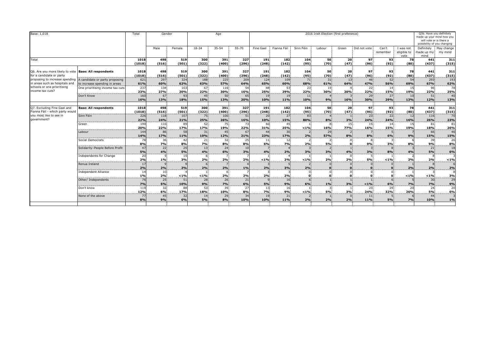| Base: 1,018                                                |                                  | Total      |           | Gender<br>Age |            |           |                 |           |             |           | Q3b. Have you definitely<br>made up your mind how you<br>will vote or is there a<br>possibility of you changing |                      |              |                   |                                  |                                  |                       |
|------------------------------------------------------------|----------------------------------|------------|-----------|---------------|------------|-----------|-----------------|-----------|-------------|-----------|-----------------------------------------------------------------------------------------------------------------|----------------------|--------------|-------------------|----------------------------------|----------------------------------|-----------------------|
|                                                            |                                  |            | Male      | Female        | 18-34      | $35 - 54$ | 55-70           | Fine Gael | Fianna Fáil | Sinn Féin | Labour                                                                                                          | Green                | Did not vote | Can't<br>remember | I was not<br>eligible to<br>vote | Definitely<br>made up my<br>mind | May change<br>my mind |
| Total                                                      |                                  | 1018       | 498       | 519           | 300        | 391       | 327             | 191       | 182         | 104       | 50                                                                                                              | -20                  | 97           | 93                | 78                               | 441                              | 311                   |
|                                                            |                                  | (1018)     | (516)     | (501)         | (322)      | (400)     | (296)           | (248)     | (142)       | (95)      | (70)                                                                                                            | (47)                 | (96)         | (92)              | (80)                             | (437)                            | (315)                 |
| Q6. Are you more likely to vote Base: All respondents      |                                  | 1018       | 498       | 519           | 300        | 391       | 327             | 191       | 182         | 104       | 50                                                                                                              | 20                   | 97           | 93                | 78                               | 441                              | 311                   |
| for a candidate or party                                   |                                  | (1018)     | (516)     | (501)         | (322)      | (400)     | (296)           | (248)     | (142)       | (95)      | (70)                                                                                                            | (47)                 | (96)         | (92)              | (80)                             | (437)                            | (315)                 |
| proposing to increase spending                             | A candidate or party proposing   | 621        | 297       | 324           | 188        | 225       | 209             | 124       | 109         | 71        | 31                                                                                                              | 13 <sup>1</sup>      | 46           | 52                | 54                               | 293                              | 193                   |
| in areas such as hospitals and                             | to increase spending in areas    | 61%        | 60%       | 62%           | 63%        | 57%       | 64%             | 65%       | 60%         | 68%       | 61%                                                                                                             | 64%                  | 47%          | 56%               | 69%                              | 67%                              | 62%                   |
| schools or one prioritising<br>income tax cuts?            | One prioritising income tax cuts | 237        | 134       | 103           | 67         | 116       | 54              | 48        | 53          | 23        | 15                                                                                                              |                      | 22           | 14                | 15                               | 96                               | 78                    |
|                                                            |                                  | 23%        | 27%       | 20%           | 22%        | 30%       | 16%             | 25%       | 29%         | 22%       | 30%                                                                                                             | 20%                  | 22%          | 15%               | 19%                              | 22%                              | 25%                   |
|                                                            | Don't Know                       | 160<br>16% | 67        | 93<br>18%     | 45<br>15%  | 50<br>13% | 65<br>20%       | 19<br>10% | 19          | 11<br>10% |                                                                                                                 | 16%                  | 29<br>30%    | 27<br>29%         | 10<br>13%                        | 51                               | 40                    |
|                                                            |                                  |            | 13%       |               |            |           |                 |           | <b>11%</b>  |           | 9%                                                                                                              |                      |              |                   |                                  | 12%                              | 13%                   |
| Q7. Excluding Fine Gael and                                | <b>Base: All respondents</b>     | 1018       | 498       | 519           | 300        | 391       | 327             | 191       | 182         | 104       | 50                                                                                                              | 20                   | 97           | 93                | 78                               | 441                              | 311                   |
| Fianna Fáil - which party would<br>vou most like to see in |                                  | (1018)     | (516)     | (501)         | (322)      | (400)     | (296)           | (248)     | (142)       | (95)      | (70)                                                                                                            | (47)                 | (96)         | (92)              | (80)                             | (437)                            | (315)                 |
|                                                            | Sinn Féin                        | 226        | 118       | 107           | 75         | 100       | 51              | 20        | 27          | 83        |                                                                                                                 |                      | 23           | 22                | 12                               | 116                              | 70                    |
| qovernment?                                                |                                  | 22%        | 24%       | 21%           | 25%        | 26%       | 16%             | 10%       | 15%         | 80%       | 8%                                                                                                              | 3%                   | 24%          | 24%               | 16%                              | 26%                              | 23%                   |
|                                                            | Green                            | 199        | 110       | 89            | 52         | 75        | 73              | 60        | 45          |           |                                                                                                                 | 15                   | 15           | 14                | 15                               | 81                               | 81                    |
|                                                            |                                  | 20%        | 22%       | 17%           | <b>17%</b> | 19%       | 22%             | 31%       | 25%         | < 1%      | 16%                                                                                                             | <b>77%</b>           | 16%          | 15%               | 19%                              | 18%                              | 26%                   |
|                                                            | Labour                           | 144<br>14% | 86<br>17% | 58<br>11%     | 31<br>10%  | 45<br>12% | 67<br>21%       | 44<br>23% | 30<br>17%   | 2%        | 29<br>57%                                                                                                       | $\overline{z}$<br>8% | 8%           | 6%                | 9%                               | 66<br>15%                        | 46                    |
|                                                            | Social Democrats                 | 78         | 36        | 42            | 21         | 32        | 25              | 11        | 12          |           |                                                                                                                 | $\Omega$             |              |                   |                                  | 39                               | 15%<br>26             |
|                                                            |                                  | 8%         | 7%        | 8%            | 7%         | 8%        | 8%              | 6%        | <b>7%</b>   | 2%        | <b>5%</b>                                                                                                       | $\mathbf{0}$         | 9%           | 3%                | 8%                               | 9%                               | 8%                    |
|                                                            | Solidarity-People Before Profit  | 47         | 22        | 25            | 13         | 24        | 10              |           |             |           |                                                                                                                 |                      |              |                   |                                  | 21                               | 18                    |
|                                                            |                                  | 5%         | 4%        | 5%            | 4%         | 6%        | 3%              | 4%        | 2%          | 3%        | 3%                                                                                                              | 4%                   | 3%           | 8%                | 4%                               | 5%                               | 6%                    |
|                                                            | <b>Independents for Change</b>   | 20         |           | 15            |            |           |                 |           |             |           |                                                                                                                 | $\Omega$             |              |                   |                                  |                                  |                       |
|                                                            |                                  | 2%         | 1%        | 3%            | 2%         | 2%        | 2%              | < 1%      | 2%          | < 1%      | 2%                                                                                                              | 2%                   | 5%           | $< 1\%$           | 2%                               | 2%                               | < 1%                  |
|                                                            | Renua Ireland                    | 17         |           |               |            |           |                 |           |             |           |                                                                                                                 | $\Omega$             |              |                   |                                  |                                  | 6                     |
|                                                            |                                  | 2%         | 2%        | 2%            | 2%         | 2%        | 1%              | 2%        | 3%          | 2%        |                                                                                                                 |                      |              |                   | 2%                               | 2%                               | 2%                    |
|                                                            | <b>Independent Alliance</b>      | 14<br>1%   | 10<br>2%  | < 1%          | $< 1\%$    | 2%        | 2%              | 3<br>2%   | 2%          | 0         |                                                                                                                 | $\Omega$             | $\Omega$     |                   | < 1%                             | $< 1\%$                          | 8<br>3%               |
|                                                            | Other/ Independents              | 76         | 25        | 51            | 28         | 26        | $\overline{21}$ |           | 16          |           |                                                                                                                 | 0.                   |              |                   |                                  | 30 <sup>1</sup>                  | 29                    |
|                                                            |                                  | 7%         | 5%        | 10%           | 9%         | 7%        | 6%              | 5%        | 9%          | 6%        | 1%                                                                                                              | 3%                   | $< 1\%$      | 6%                | 7%                               | 7%                               | 9%                    |
|                                                            | Don't know                       | 119        | 32        | 88            | 53         | 39        | 27              | 13        | 16          |           |                                                                                                                 |                      | 23           | 29                | 20                               | 24                               | 20                    |
|                                                            |                                  | 12%        | 6%        | 17%           | 18%        | 10%       | 8%              | <b>7%</b> | 9%          | < 1%      | <b>5%</b>                                                                                                       | 3%                   | 24%          | 32%               | 26%                              | 5%                               | 6%                    |
|                                                            | None of the above                | 77         | 45        | 32            | 14         | 29        | 34              | 19        | 21          |           |                                                                                                                 | $\Omega$             | 11           |                   |                                  | 44                               | $\overline{3}$        |
|                                                            |                                  | 8%         | 9%        | 6%            | 5%         | 8%        | 10%             | 10%       | 11%         | 2%        | 2%                                                                                                              | 2%                   | 11%          | 5%                | 7%                               | 10%                              | 1%                    |
|                                                            |                                  |            |           |               |            |           |                 |           |             |           |                                                                                                                 |                      |              |                   |                                  |                                  |                       |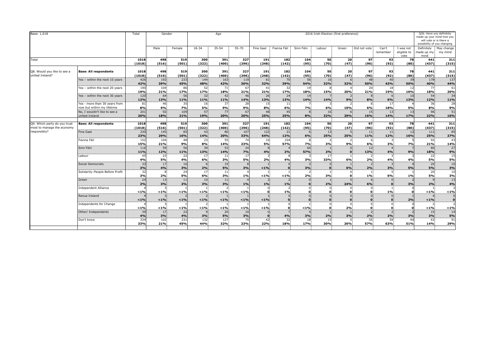| Base: 1,018                                                | Total                                                           | Gender            |                         | Age             |                                  |                 |                 |                          |                              | Q3b. Have you definitely<br>made up your mind how you<br>will vote or is there a<br>possibility of you changing |            |                      |                              |                      |                                  |                                  |                             |
|------------------------------------------------------------|-----------------------------------------------------------------|-------------------|-------------------------|-----------------|----------------------------------|-----------------|-----------------|--------------------------|------------------------------|-----------------------------------------------------------------------------------------------------------------|------------|----------------------|------------------------------|----------------------|----------------------------------|----------------------------------|-----------------------------|
|                                                            |                                                                 |                   | Male                    | Female          | $18 - 34$                        | $35 - 54$       | $55 - 70$       | Fine Gael                | Fianna Fáil                  | Sinn Féin                                                                                                       | Labour     | Green                | Did not vote                 | Can't<br>remember    | I was not<br>eligible to<br>vote | Definitely<br>made up my<br>mind | May change<br>my mind       |
| Total                                                      |                                                                 | 1018              | 498                     | 519             | 300                              | 391             | 327             | 191                      | 182                          | 104                                                                                                             | 50         | 20                   | 97                           | 93                   | 78                               | 441                              | 311                         |
|                                                            |                                                                 | (1018)            | (516)                   | (501)           | (322)                            | (400)           | (296)           | (248)                    | (142)                        | (95)                                                                                                            | (70)       | (47)                 | (96)                         | (92)                 | (80)                             | (437)                            | (315)                       |
| Q8. Would you like to see a<br>united Ireland?             | <b>Base: All respondents</b>                                    | 1018<br>(1018)    | 498<br>(516)            | 519<br>(501)    | 300<br>(322)                     | 391<br>(400)    | 327<br>(296)    | 191<br>(248)             | 182<br>(142)                 | 104<br>(95)                                                                                                     | 50<br>(70) | 20<br>(47)           | 97<br>(96)                   | 93<br>(92)           | 78<br>(80)                       | 441<br>(437)                     | 311<br>(315)                |
|                                                            | Yes - within the next 10 years                                  | 426<br>42%        | 192<br>39%              | 233<br>45%      | 144<br>48%                       | 163<br>42%      | 119<br>36%      | 61<br>32%                | 70<br>39%                    | 56<br>54%                                                                                                       | 16<br>32%  | 32%                  | 48<br>50%                    | 40<br>43%            | 39<br>50%                        | 178<br>40%                       | 137<br>44%                  |
|                                                            | Yes - within the next 20 years                                  | 190<br>19%<br>120 | 104<br><b>21%</b><br>64 | 86<br>17%<br>56 | 52<br>17%<br>32                  | 71<br>18%<br>42 | 67<br>21%<br>46 | 41<br>21%<br>26          | 32<br>17%<br>24              | 19<br>18%<br>14                                                                                                 | 15%        | 20%                  | 20<br>21%<br>$\mathbf{8}$    | 18<br>19%            | 12<br>16%<br>10                  | 77<br>18%<br>54                  | 61<br>20%<br>34             |
|                                                            | Yes - within the next 30 years<br>Yes - more than 30 years from | 12%<br>81         | 13%<br>46               | 11%<br>35       | 11%<br>16                        | 11%<br>37       | 14%<br>28       | 13%<br>15                | 13%<br>11                    | 14%                                                                                                             | 14%        | 9%                   | 8%                           | 6%<br>17             | 13%                              | 12%<br>36                        | 11%<br>28                   |
|                                                            | now but within my lifetime<br>No, I wouldn't like to see a      | 8%<br>201         | 9%<br>92                | 7%<br>109       | 5%<br>57                         | 9%<br>77        | 9%<br>67        | 8%<br>48                 | 6%<br>45                     | 7%                                                                                                              | 6%<br>16   | 10%                  | 6%<br>15                     | 18%<br>13            | 5%<br>13                         | 8%<br>96                         | 9%<br>51                    |
|                                                            | united Ireland                                                  | 20%               | <b>18%</b>              | 21%             | 19%                              | 20%             | 20%             | 25%                      | 25%                          | 8%                                                                                                              | 32%        | 29%                  | 16%                          | 14%                  | 17%                              | 22%                              | 16%                         |
| Q9. Which party do you trust<br>most to manage the economy | <b>Base: All respondents</b>                                    | 1018<br>(1018)    | 498<br>(516)            | 519<br>(501)    | 300<br>(322)                     | 391<br>(400)    | 327<br>(296)    | 191<br>(248)             | 182<br>(142)                 | 104<br>(95)                                                                                                     | 50<br>(70) | 20<br>(47)           | 97<br>(96)                   | 93<br>(92)           | 78<br>(80)                       | 441<br>(437)                     | 311<br>(315)                |
| responsibly?                                               | <b>Fine Gael</b>                                                | 230<br>23%        | 145<br>29%              | 85<br>16%       | 43<br>14%                        | 80<br>20%       | 107<br>33%      | 122<br>64%               | 21<br>12%                    | 6%                                                                                                              | 13<br>25%  | 25%                  | 11<br>11%                    | 11<br>12%            | 12<br>16%                        | 111<br>25%                       | 85<br>27%                   |
|                                                            | Fianna Fáil                                                     | 152<br>15%        | 104<br>21%              | 48<br>9%        | 23<br>8%                         | 55<br>14%<br>53 | 74<br>23%       | 10<br>5%                 | 104<br>57%                   | 7%<br>60                                                                                                        | 3%         | $\mathcal{L}$<br>9%  | 6<br>6%                      | 3%                   | 7%                               | 92<br>21%                        | 43<br>14%                   |
|                                                            | Sinn Féin<br>Labour                                             | 116<br>11%<br>45  | 59<br>12%<br>23         | 56<br>11%<br>22 | 39<br>13%<br>17                  | 14%<br>11       | 24<br>7%<br>17  | 8<br>4%<br>3             | 2%                           | 57%                                                                                                             | 2%<br>17   | $\Omega$<br>$\Omega$ | 12<br>13%<br>$\overline{2}$  | 4%                   | 9%                               | 80<br>18%<br>22                  | 27<br>9%<br>15              |
|                                                            | Social Democrats                                                | 4%<br>33          | 5%<br>17                | 4%<br>16        | 6%<br>6.                         | 3%<br>19        | 5%              | 2%                       | 4%                           | 3%                                                                                                              | 33%        | 6%                   | 2%<br>$\overline{2}$         | 4%                   | 4%                               | 5%<br>20                         | 5%<br>10                    |
|                                                            | Solidarity-People Before Profit                                 | 3%<br>32          | 4%                      | 3%<br>24        | 2%<br>17                         | 5%<br>11        | 3%              | < 1%                     |                              | 3%                                                                                                              |            | 6%                   | 2%                           | 3%                   | 5%                               | 5%<br>20                         | 3%<br>10                    |
|                                                            | Green                                                           | 3%<br>24<br>2%    | 2%<br>13<br>3%          | 5%<br>11<br>2%  | 6%<br>10<br>3%                   | 3%<br>11<br>3%  | 1%<br>1%        | < 1%<br>1%               | $< 1\%$<br>1%                | 2%                                                                                                              | 3%<br>2%   | O<br>24%             | 1%<br>6<br>6%                | 6%<br>$\Omega$       | 1%<br>3%                         | 5%<br>2%                         | 3%<br>13<br>4%              |
|                                                            | <b>Independent Alliance</b>                                     | < 1%              | < 1%                    | < 1%            | < 1%                             | $< 1\%$         | < 1%            | $\Omega$<br>$\mathbf{0}$ | 1%                           |                                                                                                                 | n          | n                    | $\Omega$<br>$\mathbf{0}$     | 1%                   |                                  | $< 1\%$                          | < 1%                        |
|                                                            | Renua Ireland                                                   | < 1%              | < 1%                    | $< 1\%$         | 2.<br>< 1%                       | $< 1\%$         | < 1%            | < 1%                     | $\mathbf{0}$<br>$\mathbf{0}$ |                                                                                                                 |            | $\Omega$<br>$\Omega$ | $\mathbf{0}$<br>$\mathbf{o}$ | $\Omega$<br>$\Omega$ | 2%                               | $< 1\%$                          | $\mathbf{0}$<br>$\mathbf 0$ |
|                                                            | <b>Independents for Change</b>                                  | $< 1\%$           | < 1%                    | $< 1\%$         | $\overline{\phantom{0}}$<br>< 1% | < 1%            | < 1%            | < 1%                     | $\Omega$                     | $< 1\%$                                                                                                         | $\Omega$   | 2%                   | $\mathbf{0}$<br>$\mathbf{0}$ | $\Omega$             |                                  | $< 1\%$                          | < 1%                        |
|                                                            | Other/ Independents                                             | 39<br>4%          | 17<br>3%                | 22<br>4%        | $\mathsf{q}$<br>3%               | 20<br>5%        | 10<br>3%<br>75  | $\mathbf{0}$<br>$\Omega$ | 4%                           | 3%<br>18                                                                                                        | 2%         | 3%                   | 2 <sub>1</sub><br>2%         | 2%                   | 3%<br>40                         | 15 <sup>1</sup><br>3%            | 14<br>5%                    |
|                                                            | Don't know                                                      | 334<br>33%        | 102<br>21%              | 231<br>45%      | 132<br>44%                       | 127<br>32%      | 23%             | 42<br>22%                | 32<br>18%                    | 17%                                                                                                             | 15<br>30%  | 26%                  | 55<br>57%                    | 59<br>63%            | 51%                              | 63<br>14%                        | 91<br>29%                   |